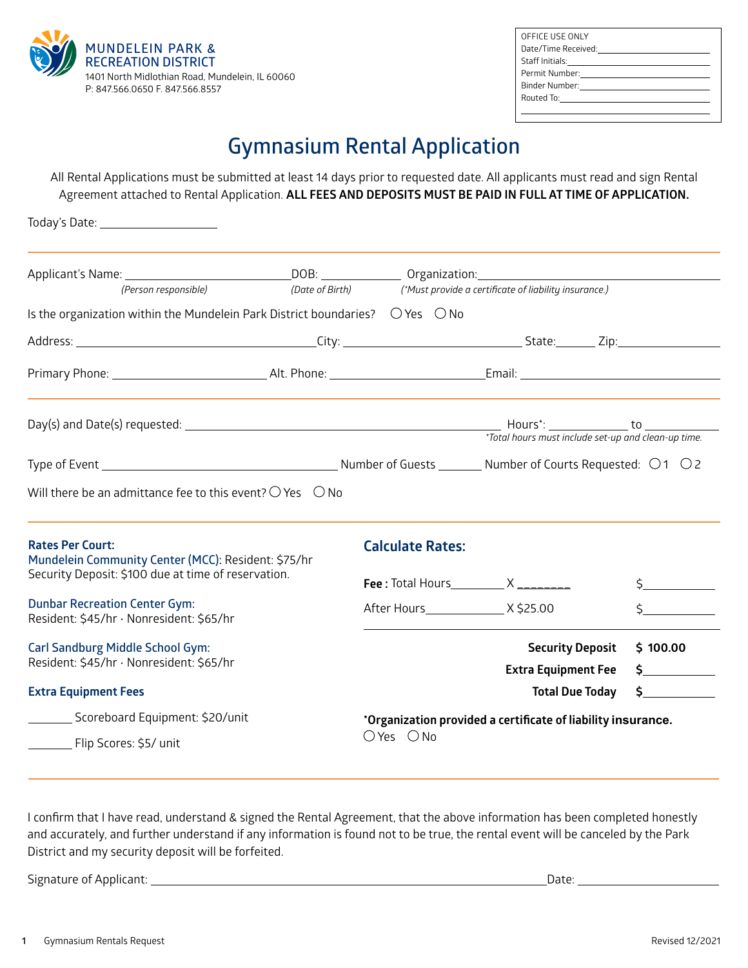

| OFFICE USE ONLY                                                                                                                                                                                                                |  |
|--------------------------------------------------------------------------------------------------------------------------------------------------------------------------------------------------------------------------------|--|
|                                                                                                                                                                                                                                |  |
| Date/Time Received: National Section of the Material Section of the Material Section of the Material Section of the Material Section of the Material Section of the Material Section of the Material Section of the Material S |  |
|                                                                                                                                                                                                                                |  |
|                                                                                                                                                                                                                                |  |
| Binder Number: <u>____________________</u>                                                                                                                                                                                     |  |
|                                                                                                                                                                                                                                |  |
|                                                                                                                                                                                                                                |  |

# **Gymnasium Rental Application**

All Rental Applications must be submitted at least 14 days prior to requested date. All applicants must read and sign Rental Agreement attached to Rental Application. **ALL FEES AND DEPOSITS MUST BE PAID IN FULL AT TIME OF APPLICATION.**

| Today's Date: _______________________                                                     |  |                                                              |                                                                       |                           |  |
|-------------------------------------------------------------------------------------------|--|--------------------------------------------------------------|-----------------------------------------------------------------------|---------------------------|--|
| (Person responsible)                                                                      |  |                                                              | (Date of Birth) (*Must provide a certificate of liability insurance.) |                           |  |
| Is the organization within the Mundelein Park District boundaries? $\circ$ Yes $\circ$ No |  |                                                              |                                                                       |                           |  |
|                                                                                           |  |                                                              |                                                                       |                           |  |
|                                                                                           |  |                                                              |                                                                       |                           |  |
|                                                                                           |  |                                                              | *Total hours must include set-up and clean-up time.                   |                           |  |
|                                                                                           |  |                                                              |                                                                       |                           |  |
| Will there be an admittance fee to this event? $\bigcirc$ Yes $\bigcirc$ No               |  |                                                              |                                                                       |                           |  |
| <b>Rates Per Court:</b><br>Mundelein Community Center (MCC): Resident: \$75/hr            |  | <b>Calculate Rates:</b>                                      |                                                                       |                           |  |
| Security Deposit: \$100 due at time of reservation.                                       |  |                                                              | Fee : Total Hours $\_\_\_\_X$ $\_\_\_\_\_\_\_\_\_$                    | $\zeta$ and $\zeta$       |  |
| <b>Dunbar Recreation Center Gym:</b><br>Resident: \$45/hr · Nonresident: \$65/hr          |  |                                                              |                                                                       | $\zeta$                   |  |
| <b>Carl Sandburg Middle School Gym:</b><br>Resident: \$45/hr · Nonresident: \$65/hr       |  |                                                              | <b>Security Deposit</b><br><b>Extra Equipment Fee</b>                 | \$100.00<br>$\frac{1}{2}$ |  |
| <b>Extra Equipment Fees</b>                                                               |  |                                                              | <b>Total Due Today</b>                                                | $\sharp$ and $\sharp$     |  |
| Scoreboard Equipment: \$20/unit                                                           |  | *Organization provided a certificate of liability insurance. |                                                                       |                           |  |
| ___________ Flip Scores: \$5/ unit                                                        |  | $OYes$ $ONo$                                                 |                                                                       |                           |  |

I confirm that I have read, understand & signed the Rental Agreement, that the above information has been completed honestly and accurately, and further understand if any information is found not to be true, the rental event will be canceled by the Park District and my security deposit will be forfeited.

Signature of Applicant: Date: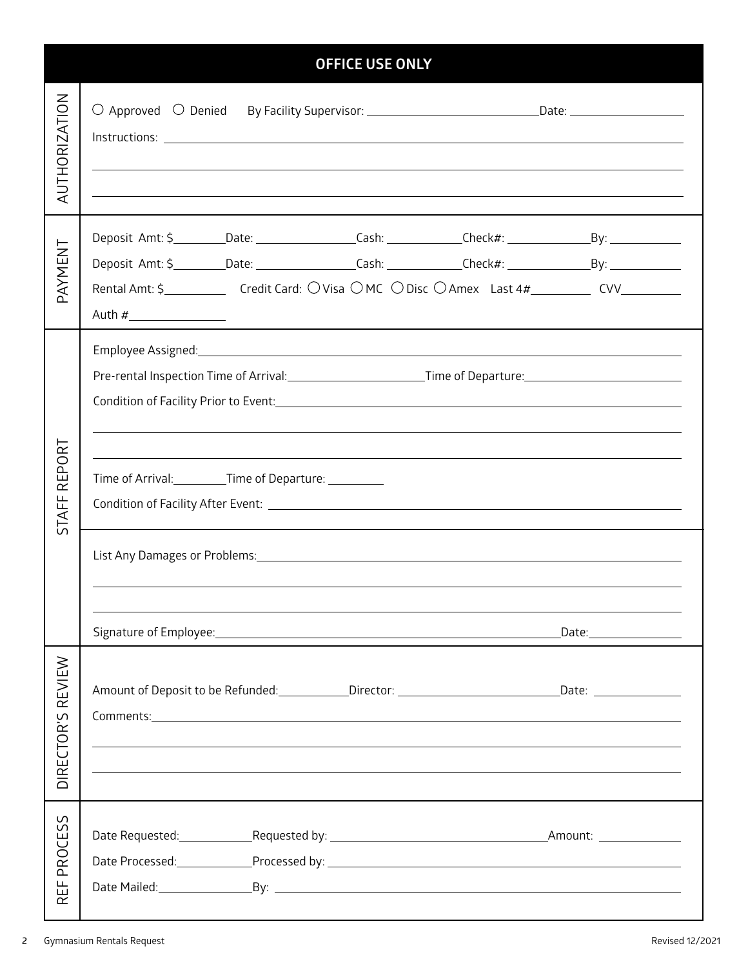|                                                 | <b>OFFICE USE ONLY</b>                                                                                         |                                                          |  |  |  |  |  |
|-------------------------------------------------|----------------------------------------------------------------------------------------------------------------|----------------------------------------------------------|--|--|--|--|--|
| <b>AUTHORIZATION</b>                            | O Approved O Denied By Facility Supervisor: _________________________________Date: ___________________________ |                                                          |  |  |  |  |  |
| PAYMENT                                         | Rental Amt: \$_______________Credit Card: OVisa OMC ODisc OAmex Last 4#___________ CVV____________             | <u> 1989 - John Stone, amerikansk politiker (* 1989)</u> |  |  |  |  |  |
| <b>EPORT</b><br>$\propto$<br><b>STAFF</b>       | Pre-rental Inspection Time of Arrival:____________________________Time of Departure:__________________________ |                                                          |  |  |  |  |  |
|                                                 | ,我们也不会有什么。""我们的人,我们也不会有什么?""我们的人,我们也不会有什么?""我们的人,我们也不会有什么?""我们的人,我们也不会有什么?""我们的人                               |                                                          |  |  |  |  |  |
|                                                 |                                                                                                                |                                                          |  |  |  |  |  |
|                                                 |                                                                                                                | _Date:___________________                                |  |  |  |  |  |
| REVIEW<br>DIRECTOR'S                            | Amount of Deposit to be Refunded: ____________Director: _______________________________Date: ________________  |                                                          |  |  |  |  |  |
|                                                 |                                                                                                                |                                                          |  |  |  |  |  |
| S<br><b>ROCES</b><br>$\Omega$<br>뚭<br>$\propto$ |                                                                                                                |                                                          |  |  |  |  |  |

 $\overline{\phantom{a}}$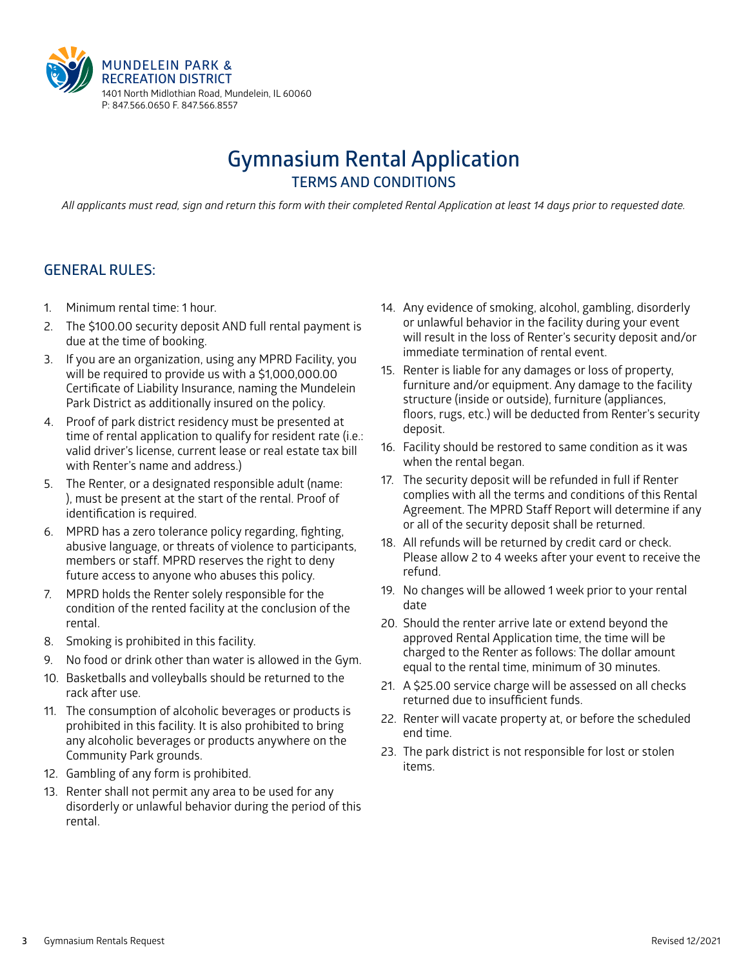

# **Gymnasium Rental Application TERMS AND CONDITIONS**

*All applicants must read, sign and return this form with their completed Rental Application at least 14 days prior to requested date.*

#### **GENERAL RULES:**

- 1. Minimum rental time: 1 hour.
- 2. The \$100.00 security deposit AND full rental payment is due at the time of booking.
- 3. If you are an organization, using any MPRD Facility, you will be required to provide us with a \$1,000,000.00 Certificate of Liability Insurance, naming the Mundelein Park District as additionally insured on the policy.
- 4. Proof of park district residency must be presented at time of rental application to qualify for resident rate (i.e.: valid driver's license, current lease or real estate tax bill with Renter's name and address.)
- 5. The Renter, or a designated responsible adult (name: ), must be present at the start of the rental. Proof of identification is required.
- 6. MPRD has a zero tolerance policy regarding, fighting, abusive language, or threats of violence to participants, members or staff. MPRD reserves the right to deny future access to anyone who abuses this policy.
- 7. MPRD holds the Renter solely responsible for the condition of the rented facility at the conclusion of the rental.
- 8. Smoking is prohibited in this facility.
- 9. No food or drink other than water is allowed in the Gym.
- 10. Basketballs and volleyballs should be returned to the rack after use.
- 11. The consumption of alcoholic beverages or products is prohibited in this facility. It is also prohibited to bring any alcoholic beverages or products anywhere on the Community Park grounds.
- 12. Gambling of any form is prohibited.
- 13. Renter shall not permit any area to be used for any disorderly or unlawful behavior during the period of this rental.
- 14. Any evidence of smoking, alcohol, gambling, disorderly or unlawful behavior in the facility during your event will result in the loss of Renter's security deposit and/or immediate termination of rental event.
- 15. Renter is liable for any damages or loss of property, furniture and/or equipment. Any damage to the facility structure (inside or outside), furniture (appliances, floors, rugs, etc.) will be deducted from Renter's security deposit.
- 16. Facility should be restored to same condition as it was when the rental began.
- 17. The security deposit will be refunded in full if Renter complies with all the terms and conditions of this Rental Agreement. The MPRD Staff Report will determine if any or all of the security deposit shall be returned.
- 18. All refunds will be returned by credit card or check. Please allow 2 to 4 weeks after your event to receive the refund.
- 19. No changes will be allowed 1 week prior to your rental date
- 20. Should the renter arrive late or extend beyond the approved Rental Application time, the time will be charged to the Renter as follows: The dollar amount equal to the rental time, minimum of 30 minutes.
- 21. A \$25.00 service charge will be assessed on all checks returned due to insufficient funds.
- 22. Renter will vacate property at, or before the scheduled end time.
- 23. The park district is not responsible for lost or stolen items.